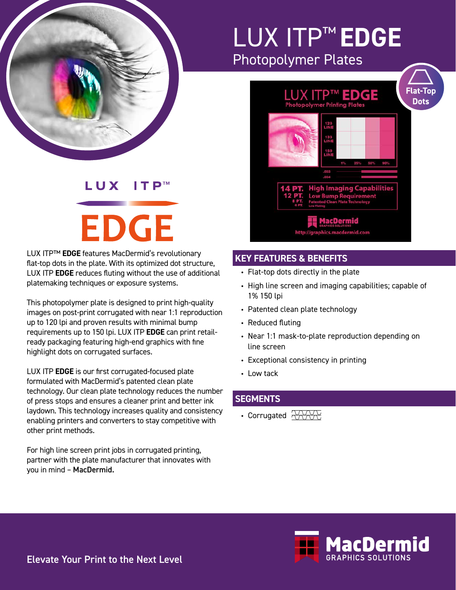

## LUX ITP™ **EDGE** Photopolymer Plates

#### $\mathbf{I}$  T  $\mathsf{P}^{\scriptscriptstyle \mathsf{TM}}$ LUX

# **EDGE**

LUX ITP™ **EDGE** features MacDermid's revolutionary flat-top dots in the plate. With its optimized dot structure, LUX ITP **EDGE** reduces fluting without the use of additional platemaking techniques or exposure systems.

This photopolymer plate is designed to print high-quality images on post-print corrugated with near 1:1 reproduction up to 120 lpi and proven results with minimal bump requirements up to 150 lpi. LUX ITP **EDGE** can print retailready packaging featuring high-end graphics with fine highlight dots on corrugated surfaces.

LUX ITP **EDGE** is our first corrugated-focused plate formulated with MacDermid's patented clean plate technology. Our clean plate technology reduces the number of press stops and ensures a cleaner print and better ink laydown. This technology increases quality and consistency enabling printers and converters to stay competitive with other print methods.

For high line screen print jobs in corrugated printing, partner with the plate manufacturer that innovates with you in mind – MacDermid.



### **KEY FEATURES & BENEFITS**

- Flat-top dots directly in the plate
- High line screen and imaging capabilities; capable of 1% 150 lpi
- Patented clean plate technology
- Reduced fluting
- Near 1:1 mask-to-plate reproduction depending on line screen
- Exceptional consistency in printing
- Low tack

#### **SEGMENTS**

• Corrugated  $\sqrt[3]{\text{A} \times \text{B}}$